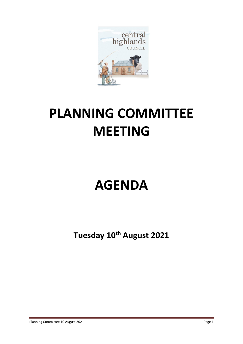

# **PLANNING COMMITTEE MEETING**

## **AGENDA**

**Tuesday 10th August 2021**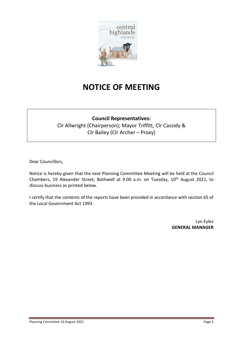

## **NOTICE OF MEETING**

### **Council Representatives:**

Clr Allwright (Chairperson); Mayor Triffitt, Clr Cassidy & Clr Bailey (Clr Archer – Proxy)

Dear Councillors,

Notice is hereby given that the next Planning Committee Meeting will be held at the Council Chambers, 19 Alexander Street, Bothwell at 9.00 a.m. on Tuesday, 10<sup>th</sup> August 2021, to discuss business as printed below.

I certify that the contents of the reports have been provided in accordance with section 65 of the Local Government Act 1993.

> Lyn Eyles **GENERAL MANAGER**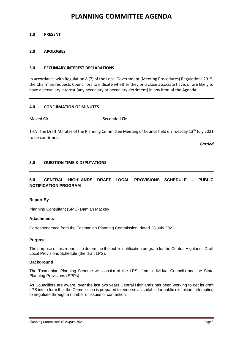## **PLANNING COMMITTEE AGENDA**

#### **1.0 PRESENT**

#### **2.0 APOLOGIES**

#### **3.0 PECUNIARY INTEREST DECLARATIONS**

In accordance with Regulation 8 (7) of the Local Government (Meeting Procedures) Regulations 2015, the Chairman requests Councillors to indicate whether they or a close associate have, or are likely to have a pecuniary interest (any pecuniary or pecuniary detriment) in any item of the Agenda.

#### **4.0 CONFIRMATION OF MINUTES**

Moved **Cir** Seconded **Cir** 

THAT the Draft Minutes of the Planning Committee Meeting of Council held on Tuesday 13<sup>th</sup> July 2021 to be confirmed.

*Carried*

#### **5.0 QUESTION TIME & DEPUTATIONS**

### **6.0 CENTRAL HIGHLANDS DRAFT LOCAL PROVISIONS SCHEDULE – PUBLIC NOTIFICATION PROGRAM**

#### **Report By**

Planning Consultant (SMC) Damian Mackey

#### **Attachments**

Correspondence from the Tasmanian Planning Commission, dated 28 July 2021

#### **Purpose**

The purpose of this report is to determine the public notification program for the Central Highlands Draft Local Provisions Schedule (the draft LPS).

#### **Background**

The Tasmanian Planning Scheme will consist of the LPSs from individual Councils and the State Planning Provisions (SPPs).

As Councillors are aware, over the last two years Central Highlands has been working to get its draft LPS into a form that the Commission is prepared to endorse as suitable for public exhibition, attempting to negotiate through a number of issues of contention.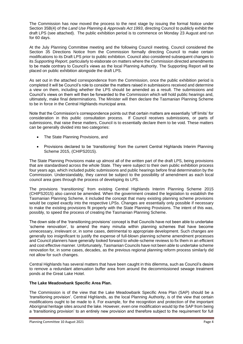The Commission has now moved the process to the next stage by issuing the formal Notice under Section 35B(4) of the *Land Use Planning & Approvals Act 1993*, directing Council to publicly exhibit the draft LPS (see attached). The public exhibition period is to commence on Monday 23 August and run for 60 days.

At the July Planning Committee meeting and the following Council meeting, Council considered the Section 35 Directions Notice from the Commission formally directing Council to make certain modifications to its Draft LPS prior to public exhibition. Council also considered subsequent changes to its *Supporting Report*, particularly to elaborate on matters where the Commission directed amendments to be made contrary to Council's views as the local Planning Authority. The Supporting Report will be placed on public exhibition alongside the draft LPS.

As set out in the attached correspondence from the Commission, once the public exhibition period is completed it will be Council's role to consider the matters raised in submissions received and determine a view on them, including whether the LPS should be amended as a result. The submissions and Council's views on them will then be forwarded to the Commission which will hold public hearings and, ultimately, make final determinations. The Minister will then declare the Tasmanian Planning Scheme to be in force in the Central Highlands municipal area.

Note that the Commission's correspondence points out that certain matters are essentially 'off limits' for consideration in this public consultation process. If Council receives submissions, or parts of submissions, that raise these matters, Council is to essentially declare them to be void. These matters can be generally divided into two categories:

- The State Planning Provisions, and
- Provisions declared to be 'transitioning' from the current Central Highlands Interim Planning Scheme 2015, (CHIPS2015).

The State Planning Provisions make up almost all of the written part of the draft LPS, being provisions that are standardised across the whole State. They were subject to their own public exhibition process four years ago, which included public submissions and public hearings before final determination by the Commission. Understandably, they cannot be subject to the possibility of amendment as each local council area goes through the process of developing its LPS.

The provisions 'transitioning' from existing Central Highlands Interim Planning Scheme 2015 (CHIPS2015) also cannot be amended. When the government created the legislation to establish the Tasmanian Planning Scheme, it included the concept that many existing planning scheme provisions would be copied exactly into the respective LPSs. Changes are essentially only possible if necessary to make the existing provisions fit properly with the State Planning Provisions. The intent of this was, possibly, to speed the process of creating the Tasmanian Planning Scheme.

The down side of the 'transitioning provisions' concept is that Councils have not been able to undertake 'scheme renovation', to amend the many minutia within planning schemes that have become unnecessary, irrelevant or, in some cases, detrimental to appropriate development. Such changes are generally too insignificant to justify the expense of full-blown planning scheme amendment processes and Council planners have generally looked forward to whole-scheme reviews to fix them in an efficient and cost effective manner. Unfortunately, Tasmanian Councils have not been able to undertake scheme renovation for, in some cases, decades, as the previous regional planning reform process similarly did not allow for such changes.

Central Highlands has several matters that have been caught in this dilemma, such as Council's desire to remove a redundant attenuation buffer area from around the decommissioned sewage treatment ponds at the Great Lake Hotel.

#### **The Lake Meadowbank Specific Area Plan.**

The Commission is of the view that the Lake Meadowbank Specific Area Plan (SAP) should be a 'transitioning provision'. Central Highlands, as the local Planning Authority, is of the view that certain modifications ought to be made to it. For example, for the recognition and protection of the important Aboriginal heritage sites around the lake. However, even one modification would tip the SAP from being a 'transitioning provision' to an entirely new provision and therefore subject to the requirement for full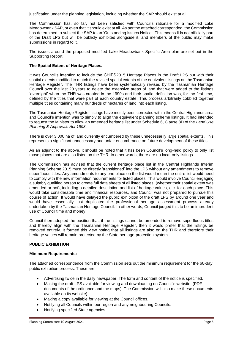justification under the planning legislation, including whether the SAP should exist at all.

The Commission has, so far, not been satisfied with Council's rationale for a modified Lake Meadowbank SAP, or even that it should exist at all. As per the attached corresponded, the Commission has determined to subject the SAP to an 'Outstanding Issues Notice'. This means it is not officially part of the Draft LPS but will be publicly exhibited alongside it, and members of the public may make submissions in regard to it.

The issues around the proposed modified Lake Meadowbank Specific Area plan are set out in the Supporting Report.

#### **The Spatial Extent of Heritage Places.**

It was Council's intention to include the CHIPS2015 Heritage Places in the Draft LPS but with their spatial extents modified to match the revised spatial extents of the equivalent listings on the Tasmanian Heritage Register. The THR listings have been systematically revised by the Tasmanian Heritage Council over the last 20 years to delete the extensive areas of land that were added to the listings 'overnight' when the THR was created in the 1990s and their spatial definition was, for the first time, defined by the titles that were part of each country estate. This process arbitrarily cobbled together multiple titles containing many hundreds of hectares of land into each listing.

The Tasmanian Heritage Register listings have mostly been corrected within the Central Highlands area and Council's intention was to simply to align the equivalent planning scheme listings. It had intended to request the Minister to allow an amended heritage list under Schedule 6, Clause 8D of the *Land Use Planning & Approvals Act 1993*.

There is over 3,000 ha of land currently encumbered by these unnecessarily large spatial extents. This represents a significant unnecessary and unfair encumbrance on future development of these titles.

As an adjunct to the above, it should be noted that it has been Council's long-held policy to only list those places that are also listed on the THR. In other words, there are no local-only listings.

The Commission has advised that the current heritage place list in the Central Highlands Interim Planning Scheme 2015 must be directly 'transitioned' into the LPS without any amendments to remove superfluous titles. Any amendments to any one place on the list would mean the entire list would need to comply with the new information requirements for listed places. This would involve Council engaging a suitably qualified person to create full data sheets of all listed places, (whether their spatial extent was amended or not), including a detailed description and list of heritage values, etc. for each place. This would take considerable time and financial resources, and Council was not prepared to pursue this course of action. It would have delayed the public exhibition of the draft LPS by around one year and would have essentially just duplicated the professional heritage assessment process already undertaken by the Tasmanian Heritage Council. In other words, Council judged this to be an imprudent use of Council time and money.

Council then adopted the position that, if the listings cannot be amended to remove superfluous titles and thereby align with the Tasmanian Heritage Register, then it would prefer that the listings be removed entirely. It formed this view noting that all listings are also on the THR and therefore their heritage values will remain protected by the State heritage-protection system.

#### **PUBLIC EXHIBITION**

#### **Minimum Requirements:**

The attached correspondence from the Commission sets out the minimum requirement for the 60-day public exhibition process. These are:

- Advertising twice in the daily newspaper. The form and content of the notice is specified.
- Making the draft LPS available for viewing and downloading on Council's website. (PDF documents of the ordinance and the maps). The Commission will also make these documents available on its website).
- Making a copy available for viewing at the Council offices.
- Notifying all Councils within our region and any neighbouring Councils.
- Notifying specified State agencies.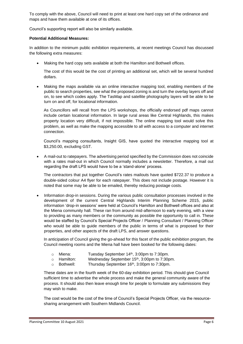To comply with the above, Council will need to print at least one hard copy set of the ordinance and maps and have them available at one of its offices.

Council's supporting report will also be similarly available.

#### **Potential Additional Measures:**

In addition to the minimum public exhibition requirements, at recent meetings Council has discussed the following extra measures:

Making the hard copy sets available at both the Hamilton and Bothwell offices.

The cost of this would be the cost of printing an additional set, which will be several hundred dollars.

• Making the maps available via an online interactive mapping tool, enabling members of the public to search properties, see what the proposed zoning is and turn the overlay layers off and on, to see which codes apply. The TasMap and satellite photography layers will be able to be turn on and off, for locational information.

As Councillors will recall from the LPS workshops, the officially endorsed pdf maps cannot include certain locational information. In large rural areas like Central Highlands, this makes property location very difficult, if not impossible. The online mapping tool would solve this problem, as well as make the mapping accessible to all with access to a computer and internet connection.

Council's mapping consultants, Insight GIS, have quoted the interactive mapping tool at \$3,250.00, excluding GST.

• A mail-out to ratepayers. The advertising period specified by the Commission does not coincide with a rates mail-out in which Council normally includes a newsletter. Therefore, a mail out regarding the draft LPS would have to be a 'stand-alone' process.

The contractors that put together Council's rates mailouts have quoted \$722.37 to produce a double-sided colour A4 flyer for each ratepayer. This does not include postage. However it is noted that some may be able to be emailed, thereby reducing postage costs.

• Information drop-in sessions. During the various public consultation processes involved in the development of the current Central Highlands Interim Planning Scheme 2015, public information 'drop-in sessions' were held at Council's Hamilton and Bothwell offices and also at the Miena community hall. These ran from around mid-afternoon to early evening, with a view to providing as many members or the community as possible the opportunity to call in. These would be staffed by Council's Special Projects Officer / Planning Consultant / Planning Officer who would be able to guide members of the public in terms of what is proposed for their properties, and other aspects of the draft LPS, and answer questions.

In anticipation of Council giving the go-ahead for this facet of the public exhibition program, the Council meeting rooms and the Miena hall have been booked for the following dates:

- o Miena: Tuesday September 14th, 3:00pm to 7:30pm.
- o Hamilton: Wednesday September 15th, 3:00pm to 7:30pm.
- o Bothwell: Thursday September 16<sup>th</sup>, 3:00pm to 7:30pm.

These dates are in the fourth week of the 60-day exhibition period. This should give Council sufficient time to advertise the whole process and make the general community aware of the process. It should also then leave enough time for people to formulate any submissions they may wish to make.

The cost would be the cost of the time of Council's Special Projects Officer, via the resourcesharing arrangement with Southern Midlands Council.